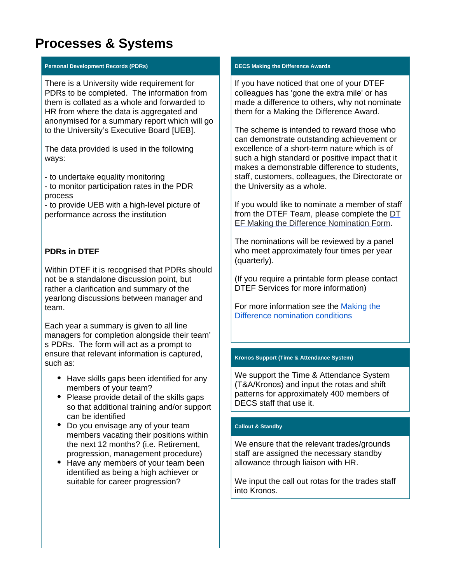# **Processes & Systems**

#### **Personal Development Records (PDRs)**

There is a University wide requirement for PDRs to be completed. The information from them is collated as a whole and forwarded to HR from where the data is aggregated and anonymised for a summary report which will go to the University's Executive Board [UEB].

The data provided is used in the following ways:

- to undertake equality monitoring

- to monitor participation rates in the PDR process

- to provide UEB with a high-level picture of performance across the institution

## **PDRs in DTEF**

Within DTEF it is recognised that PDRs should not be a standalone discussion point, but rather a clarification and summary of the yearlong discussions between manager and team.

Each year a summary is given to all line managers for completion alongside their team' s PDRs. The form will act as a prompt to ensure that relevant information is captured, such as:

- Have skills gaps been identified for any members of your team?
- Please provide detail of the skills gaps so that additional training and/or support can be identified
- Do you envisage any of your team members vacating their positions within the next 12 months? (i.e. Retirement, progression, management procedure)
- Have any members of your team been identified as being a high achiever or suitable for career progression?

#### **DECS Making the Difference Awards**

If you have noticed that one of your DTEF colleagues has 'gone the extra mile' or has made a difference to others, why not nominate them for a Making the Difference Award.

The scheme is intended to reward those who can demonstrate outstanding achievement or excellence of a short-term nature which is of such a high standard or positive impact that it makes a demonstrable difference to students, staff, customers, colleagues, the Directorate or the University as a whole.

If you would like to nominate a member of staff from the DTEF Team, please complete the [DT](https://docs.google.com/forms/d/e/1FAIpQLSc6fIQud5v3VwmTQlWxBFyBZEczjfh4nalVQf_d5jcN9RXo9g/viewform) [EF Making the Difference Nomination Form](https://docs.google.com/forms/d/e/1FAIpQLSc6fIQud5v3VwmTQlWxBFyBZEczjfh4nalVQf_d5jcN9RXo9g/viewform).

The nominations will be reviewed by a panel who meet approximately four times per year (quarterly).

(If you require a printable form please contact DTEF Services for more information)

For more information see the [Making the](https://wiki.york.ac.uk/download/attachments/181045745/MTD%20scheme%20conditions%20V10.0%20April%202019%20%281%29.doc?version=1&modificationDate=1593077561000&api=v2)  [Difference nomination conditions](https://wiki.york.ac.uk/download/attachments/181045745/MTD%20scheme%20conditions%20V10.0%20April%202019%20%281%29.doc?version=1&modificationDate=1593077561000&api=v2)

### **Kronos Support (Time & Attendance System)**

We support the Time & Attendance System (T&A/Kronos) and input the rotas and shift patterns for approximately 400 members of DECS staff that use it.

#### **Callout & Standby**

We ensure that the relevant trades/grounds staff are assigned the necessary standby allowance through liaison with HR.

We input the call out rotas for the trades staff into Kronos.